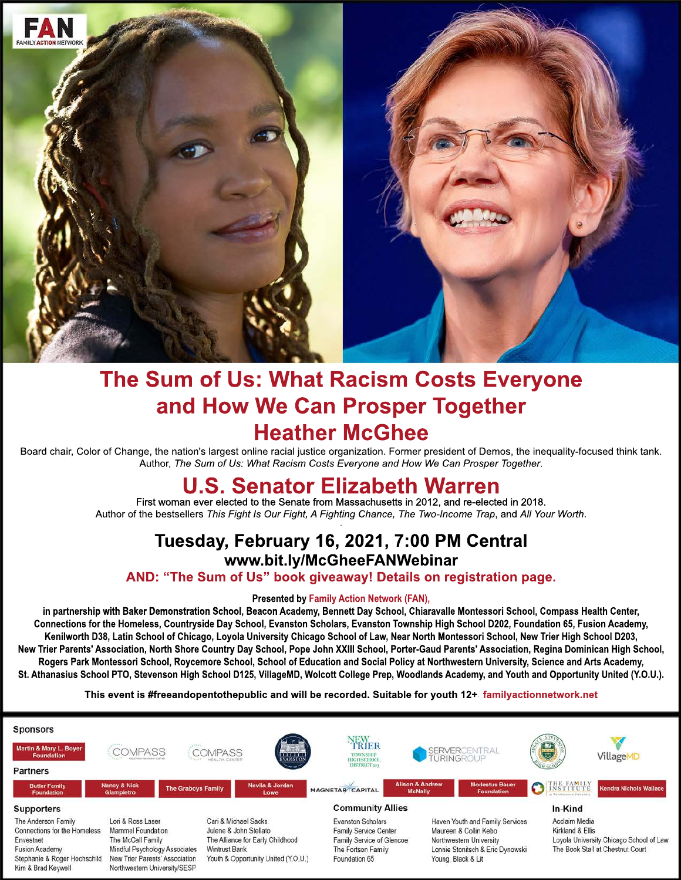

## **The Sum of Us: What Racism Costs Everyone and How We Can Prosper Together Heather McGhee**

Board chair, Color of Change, the nation's largest online racial justice organization. Former president of Demos, the inequality-focused think tank. Author, *The Sum of Us: What Racism Costs Everyone and How We Can Prosper Together*.

## **U.S. Senator Elizabeth Warren**

First woman ever elected to the Senate from Massachusetts in 2012, and re-elected in 2018. Author of the bestsellers *This Fight Is Our Fight, A Fighting Chance, The Two-Income Trap*, and *All Your Worth*. .

## **Tuesday, February 16, 2021, 7:00 PM Central www.bit.ly/McGheeFANWebinar**

**AND: "The Sum of Us" book giveaway! Details on registration page.**

## **Presented by Family Action Network (FAN),**

in partnership with Baker Demonstration School, Beacon Academy, Bennett Day School, Chiaravalle Montessori School, Compass Health Center, **Connections for the Homeless, Countryside Day School, Evanston Scholars, Evanston Township High School D202, Foundation 65, Fusion Academy, Kenilworth D38, Latin School of Chicago, Loyola University Chicago School of Law, Near North Montessori School, New Trier High School D203, New Trier Parents' Association, North Shore Country Day School, Pope John XXIII School, Porter-Gaud Parents' Association, Regina Dominican High School, Rogers Park Montessori School, Roycemore School, School of Education and Social Policy at Northwestern University, Science and Arts Academy, Universit St. Athanasius School PTO, Stevenson High School D125, VillageMD, Wolcott College Prep, Woodlands Academy, and Youth and Opportunity United (Y.O.U.).**

**This event is #freeandopentothepublic and will be recorded. Suitable for youth 12+. familyactionnetwork.net**

| <b>Sponsors</b>                                                                                                                                 |                                                                                                                                                                |                                                                                                                                                   |                                                                                                                |                                                                                                                                               |                                                                                                                  |
|-------------------------------------------------------------------------------------------------------------------------------------------------|----------------------------------------------------------------------------------------------------------------------------------------------------------------|---------------------------------------------------------------------------------------------------------------------------------------------------|----------------------------------------------------------------------------------------------------------------|-----------------------------------------------------------------------------------------------------------------------------------------------|------------------------------------------------------------------------------------------------------------------|
| Martin & Mary L. Boyer<br><b>Foundation</b>                                                                                                     | <b>COMPASS</b>                                                                                                                                                 | $\mathcal{F}$<br><b>COMPASS</b><br>manna.<br>EVANSTON                                                                                             | YEWER<br>TOWNSHIP<br>HIGH SCHOOL                                                                               | SERVERCENTRAL<br>TURINGROUP                                                                                                                   | $\bigoplus$<br>VillageMD                                                                                         |
| <b>Partners</b>                                                                                                                                 |                                                                                                                                                                |                                                                                                                                                   | <b>DISTRICT 204</b>                                                                                            |                                                                                                                                               |                                                                                                                  |
| <b>Butler Family</b><br><b>Foundation</b>                                                                                                       | <b>Nancy &amp; Nick</b><br><b>The Graboys Family</b><br><b>Giampietro</b>                                                                                      | Nevila & Jordan<br>Lowe                                                                                                                           | <b>MAGNETAR CAPITAL</b>                                                                                        | <b>Alison &amp; Andrew</b><br><b>Modestus Bauer</b><br><b>McNally</b><br><b>Foundation</b>                                                    | THE FAMILY<br>$\Omega$<br>Kendra Nichols Wallace                                                                 |
| <b>Supporters</b>                                                                                                                               |                                                                                                                                                                |                                                                                                                                                   | <b>Community Allies</b>                                                                                        |                                                                                                                                               | In-Kind                                                                                                          |
| The Anderson Family<br>Connections for the Homeless<br>Envestnet<br><b>Fusion Academy</b><br>Stephanie & Roger Hochschild<br>Kim & Brad Keywell | Lori & Ross Laser<br>Mammel Foundation<br>The McCall Family<br>Mindful Psychology Associates<br>New Trier Parents' Association<br>Northwestern University/SESP | Cari & Michael Sacks<br>Julene & John Stellato<br>The Alliance for Early Childhood<br><b>Wintrust Bank</b><br>Youth & Opportunity United (Y.O.U.) | Evanston Scholars<br>Family Service Center<br>Family Service of Glencoe<br>The Fortson Family<br>Foundation 65 | Haven Youth and Family Services<br>Maureen & Collin Kebo<br>Northwestern University<br>Lonnie Stonitsch & Eric Dynowski<br>Young, Black & Lit | Acclaim Media<br>Kirkland & Ellis<br>Loyola University Chicago School of Law<br>The Book Stall at Chestnut Court |